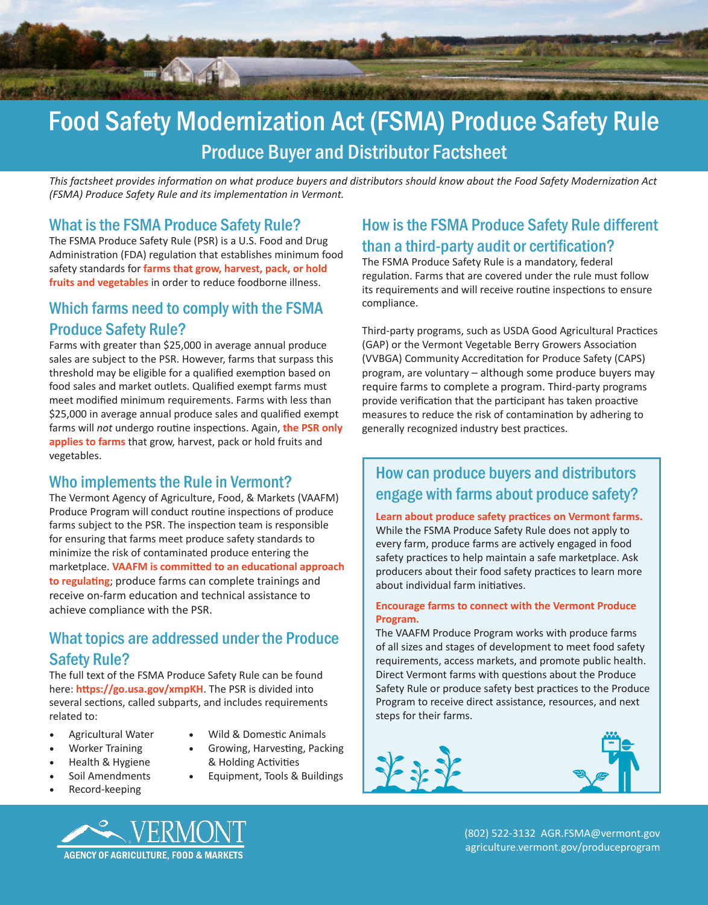

# Food Safety Modernization Act (FSMA) Produce Safety Rule Produce Buyer and Distributor Factsheet

*This factsheet provides information on what produce buyers and distributors should know about the Food Safety Modernization Act (FSMA) Produce Safety Rule and its implementation in Vermont.* 

#### What is the FSMA Produce Safety Rule?

The FSMA Produce Safety Rule (PSR) is a U.S. Food and Drug Administration (FDA) regulation that establishes minimum food safety standards for **farms that grow, harvest, pack, or hold fruits and vegetables** in order to reduce foodborne illness.

# Which farms need to comply with the FSMA Produce Safety Rule?

Farms with greater than \$25,000 in average annual produce sales are subject to the PSR. However, farms that surpass this threshold may be eligible for a qualified exemption based on food sales and market outlets. Qualified exempt farms must meet modified minimum requirements. Farms with less than \$25,000 in average annual produce sales and qualified exempt farms will *not* undergo routine inspections. Again, **the PSR only applies to farms** that grow, harvest, pack or hold fruits and vegetables.

## Who implements the Rule in Vermont?

The Vermont Agency of Agriculture, Food, & Markets (VAAFM) Produce Program will conduct routine inspections of produce farms subject to the PSR. The inspection team is responsible for ensuring that farms meet produce safety standards to minimize the risk of contaminated produce entering the marketplace. **VAAFM is committed to an educational approach to regulating**; produce farms can complete trainings and receive on-farm education and technical assistance to achieve compliance with the PSR.

### What topics are addressed under the Produce Safety Rule?

The full text of the FSMA Produce Safety Rule can be found here: **https://go.usa.gov/xmpKH**. The PSR is divided into several sections, called subparts, and includes requirements related to:

- Agricultural Water
- Worker Training
- Health & Hygiene
- Soil Amendments
- Record-keeping
- Wild & Domestic Animals
- Growing, Harvesting, Packing & Holding Activities
- Equipment, Tools & Buildings
- 

# How is the FSMA Produce Safety Rule different than a third-party audit or certification?

The FSMA Produce Safety Rule is a mandatory, federal regulation. Farms that are covered under the rule must follow its requirements and will receive routine inspections to ensure compliance.

Third-party programs, such as USDA Good Agricultural Practices (GAP) or the Vermont Vegetable Berry Growers Association (VVBGA) Community Accreditation for Produce Safety (CAPS) program, are voluntary – although some produce buyers may require farms to complete a program. Third-party programs provide verification that the participant has taken proactive measures to reduce the risk of contamination by adhering to generally recognized industry best practices.

# How can produce buyers and distributors engage with farms about produce safety?

**Learn about produce safety practices on Vermont farms.** While the FSMA Produce Safety Rule does not apply to every farm, produce farms are actively engaged in food safety practices to help maintain a safe marketplace. Ask producers about their food safety practices to learn more about individual farm initiatives.

#### **Encourage farms to connect with the Vermont Produce Program.**

The VAAFM Produce Program works with produce farms of all sizes and stages of development to meet food safety requirements, access markets, and promote public health. Direct Vermont farms with questions about the Produce Safety Rule or produce safety best practices to the Produce Program to receive direct assistance, resources, and next steps for their farms.







(802) 522-3132 AGR.FSMA@vermont.gov agriculture.vermont.gov/produceprogram